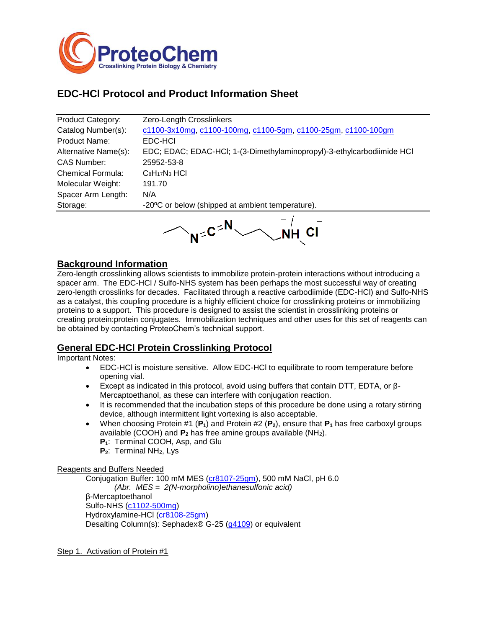

# **EDC-HCl Protocol and Product Information Sheet**

| <b>Product Category:</b> | Zero-Length Crosslinkers                                               |
|--------------------------|------------------------------------------------------------------------|
| Catalog Number(s):       | c1100-3x10mg, c1100-100mg, c1100-5gm, c1100-25gm, c1100-100gm          |
| Product Name:            | EDC-HCI                                                                |
| Alternative Name(s):     | EDC; EDAC; EDAC-HCl; 1-(3-Dimethylaminopropyl)-3-ethylcarbodiimide HCl |
| CAS Number:              | 25952-53-8                                                             |
| <b>Chemical Formula:</b> | $C_8H_{17}N_3$ HCI                                                     |
| Molecular Weight:        | 191.70                                                                 |
| Spacer Arm Length:       | N/A                                                                    |
| Storage:                 | -20°C or below (shipped at ambient temperature).                       |
|                          |                                                                        |

 $N^{\leq C \leq N}$ 

## **Background Information**

Zero-length crosslinking allows scientists to immobilize protein-protein interactions without introducing a spacer arm. The EDC-HCl / Sulfo-NHS system has been perhaps the most successful way of creating zero-length crosslinks for decades. Facilitated through a reactive carbodiimide (EDC-HCl) and Sulfo-NHS as a catalyst, this coupling procedure is a highly efficient choice for crosslinking proteins or immobilizing proteins to a support. This procedure is designed to assist the scientist in crosslinking proteins or creating protein:protein conjugates. Immobilization techniques and other uses for this set of reagents can be obtained by contacting ProteoChem's technical support.

### **General EDC-HCl Protein Crosslinking Protocol**

Important Notes:

- EDC-HCl is moisture sensitive. Allow EDC-HCl to equilibrate to room temperature before opening vial.
- Except as indicated in this protocol, avoid using buffers that contain DTT, EDTA, or  $\beta$ -Mercaptoethanol, as these can interfere with conjugation reaction.
- It is recommended that the incubation steps of this procedure be done using a rotary stirring device, although intermittent light vortexing is also acceptable.
- When choosing Protein #1 (**P1**) and Protein #2 (**P2**), ensure that **P<sup>1</sup>** has free carboxyl groups available (COOH) and **P<sup>2</sup>** has free amine groups available (NH2).
	- **P1**: Terminal COOH, Asp, and Glu
	- **P2**: Terminal NH2, Lys

### Reagents and Buffers Needed

Conjugation Buffer: 100 mM MES [\(cr8107-25gm\)](http://www.proteochem.com/mesmonohydrate25grams-p-208.html), 500 mM NaCl, pH 6.0 *(Abr. MES = 2(N-morpholino)ethanesulfonic acid)* β-Mercaptoethanol Sulfo-NHS [\(c1102-500mg\)](http://www.proteochem.com/sulfonhs500mg-p-32.html) Hydroxylamine-HCl [\(cr8108-25gm\)](http://www.proteochem.com/hydroxylaminehcl25gm-p-242.html) Desalting Column(s): Sephadex® G-25 [\(g4109\)](http://www.proteochem.com/immobilizationresinsdesaltingresin-c-23_160.html) or equivalent

Step 1. Activation of Protein #1